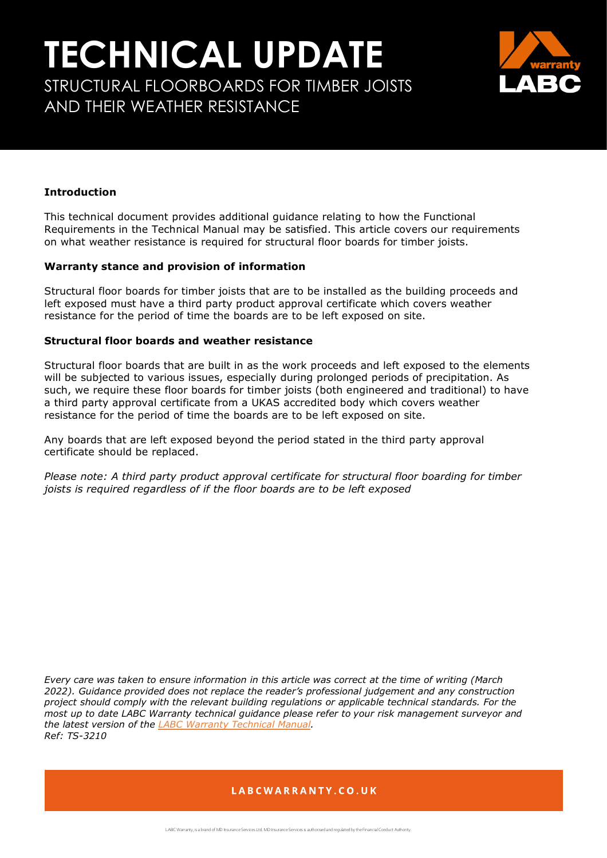# **TECHNICAL UPDATE** STRUCTURAL FLOORBOARDS FOR TIMBER JOISTS AND THEIR WEATHER RESISTANCE



#### **Introduction**

This technical document provides additional guidance relating to how the Functional Requirements in the Technical Manual may be satisfied. This article covers our requirements on what weather resistance is required for structural floor boards for timber joists.

#### **Warranty stance and provision of information**

Structural floor boards for timber joists that are to be installed as the building proceeds and left exposed must have a third party product approval certificate which covers weather resistance for the period of time the boards are to be left exposed on site.

#### **Structural floor boards and weather resistance**

Structural floor boards that are built in as the work proceeds and left exposed to the elements will be subjected to various issues, especially during prolonged periods of precipitation. As such, we require these floor boards for timber joists (both engineered and traditional) to have a third party approval certificate from a UKAS accredited body which covers weather resistance for the period of time the boards are to be left exposed on site.

Any boards that are left exposed beyond the period stated in the third party approval certificate should be replaced.

*Please note: A third party product approval certificate for structural floor boarding for timber joists is required regardless of if the floor boards are to be left exposed*

*Every care was taken to ensure information in this article was correct at the time of writing (March 2022). Guidance provided does not replace the reader's professional judgement and any construction project should comply with the relevant building regulations or applicable technical standards. For the most up to date LABC Warranty technical guidance please refer to your risk management surveyor and the latest version of the [LABC Warranty Technical Manual.](https://info.labcwarranty.co.uk/technical-manual) Ref: TS-3210*

### LABCWARRANTY.CO.UK